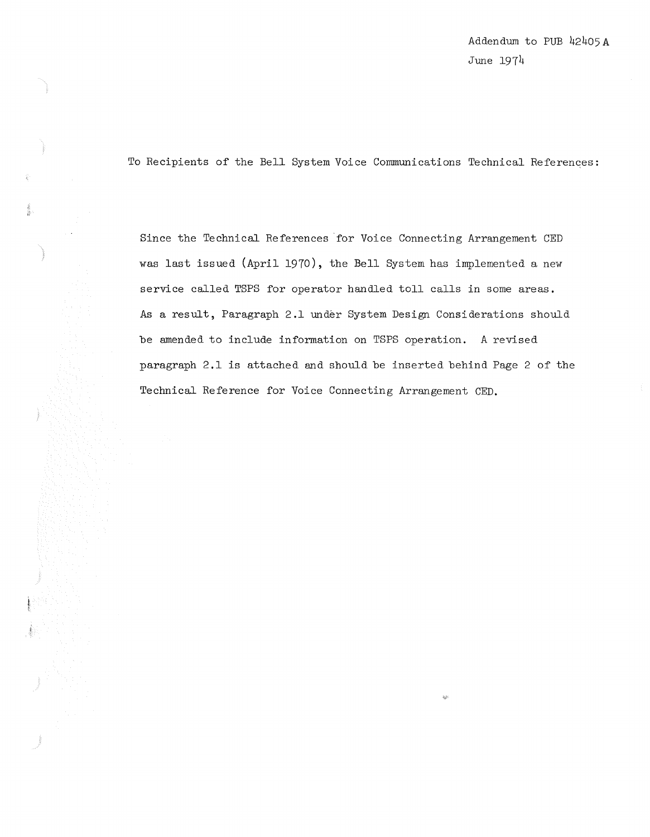Addendum to PUB 42405A June 1974

To Recipients of the Bell System Voice Communications Technical References:

Since the Technical References for Voice Connecting Arrangement CED was last issued (April 1970), the Bell System has implemented a new service called TSPS for operator handled toll calls in some areas. As a result, Paragraph 2.1 under System Design Considerations should be amended to include information on TSPS operation. A revised paragraph 2.1 is attached and should be inserted behind Page 2 of the Technical Reference for Voice Connecting Arrangement CED.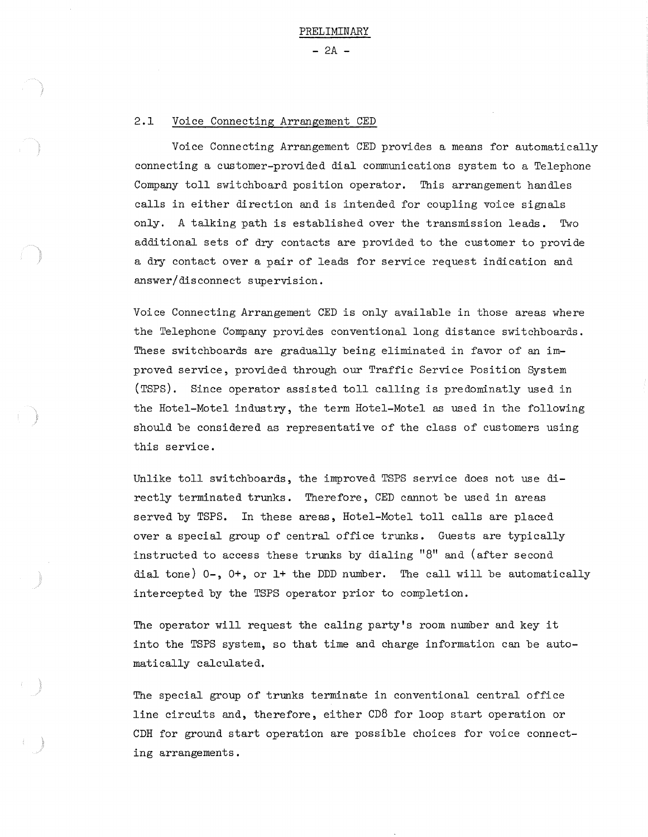$- 2A -$ 

## 2.1 Voice Connecting Arrangement CED

Voice Connecting Arrangement CED provides a means for automatically connecting a customer-provided dial communications system to a Telephone Company toll switchboard position operator. This arrangement handles calls in either direction and is intended for coupling voice signals only. A talking path is established over the transmission leads. Two additional sets of dry contacts are provided to the customer to provide a dry contact over a pair of leads for service request indication and answer/disconnect supervision.

Voice Connecting Arrangement CED is only available in those areas where the Telephone Company provides conventional long distance switchboards. These switchboards are gradually being eliminated in favor of an improved service, provided through our Traffic Service Position System (TSPS). Since operator assisted toll calling is predominatly used in the Hotel-Motel industry, the term Hotel-Motel as used in the following should be considered as representative of the class of customers using this service.

Unlike toll switchboards, the improved TSPS service does not use directly terminated trunks. Therefore, CED cannot be used in areas served by TSPS. In these areas, Hotel-Motel toll calls are placed over a special group of central office trunks. Guests are typically instructed to access these trunks by dialing "8" and (after second dial tone) 0-, O+, or l+ the DDD number. The call will be automatically intercepted by the TSPS operator prior to completion.

The operator will request the caling party's room number and key it into the TSPS system, so that time and charge information can be automatically calculated.

The special group of trunks terminate in conventional central office line circuits and, therefore, either CD8 for loop start operation or CDH for ground start operation are possible choices for voice connecting arrangements.